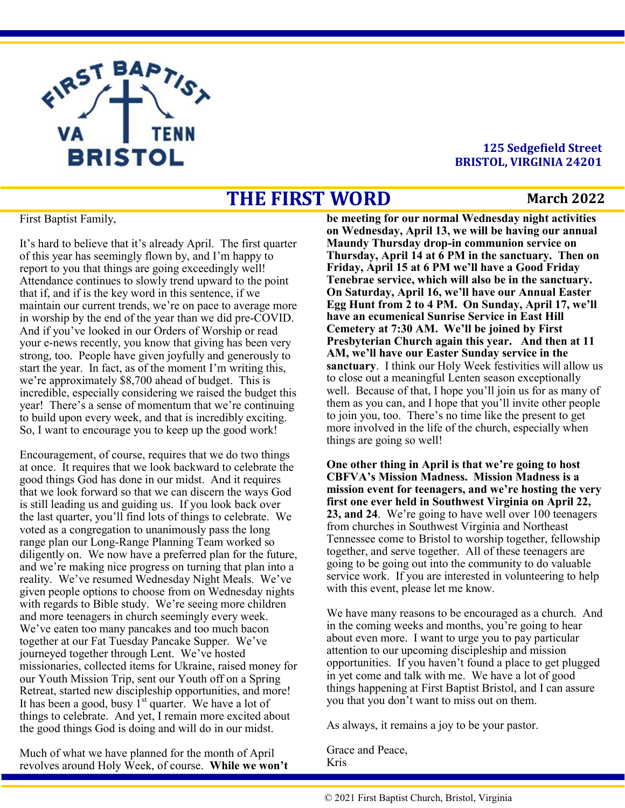

#### **125 Sedgefield Street BRISTOL, VIRGINIA 24201**

### **THE FIRST WORD**

#### **March 2022**

First Baptist Family,

It's hard to believe that it's already April. The first quarter of this year has seemingly flown by, and I'm happy to report to you that things are going exceedingly well! Attendance continues to slowly trend upward to the point that if, and if is the key word in this sentence, if we maintain our current trends, we're on pace to average more in worship by the end of the year than we did pre-COVID. And if you've looked in our Orders of Worship or read your e-news recently, you know that giving has been very strong, too. People have given joyfully and generously to start the year. In fact, as of the moment I'm writing this, we're approximately \$8,700 ahead of budget. This is incredible, especially considering we raised the budget this year! There's a sense of momentum that we're continuing to build upon every week, and that is incredibly exciting. So, I want to encourage you to keep up the good work!

Encouragement, of course, requires that we do two things at once. It requires that we look backward to celebrate the good things God has done in our midst. And it requires that we look forward so that we can discern the ways God is still leading us and guiding us. If you look back over the last quarter, you'll find lots of things to celebrate. We voted as a congregation to unanimously pass the long range plan our Long-Range Planning Team worked so diligently on. We now have a preferred plan for the future, and we're making nice progress on turning that plan into a reality. We've resumed Wednesday Night Meals. We've given people options to choose from on Wednesday nights with regards to Bible study. We're seeing more children and more teenagers in church seemingly every week. We've eaten too many pancakes and too much bacon together at our Fat Tuesday Pancake Supper. We've journeyed together through Lent. We've hosted missionaries, collected items for Ukraine, raised money for our Youth Mission Trip, sent our Youth off on a Spring Retreat, started new discipleship opportunities, and more! It has been a good, busy  $1<sup>st</sup>$  quarter. We have a lot of things to celebrate. And yet, I remain more excited about the good things God is doing and will do in our midst.

Much of what we have planned for the month of April revolves around Holy Week, of course. **While we won't** 

**be meeting for our normal Wednesday night activities on Wednesday, April 13, we will be having our annual Maundy Thursday drop-in communion service on Thursday, April 14 at 6 PM in the sanctuary. Then on Friday, April 15 at 6 PM we'll have a Good Friday Tenebrae service, which will also be in the sanctuary. On Saturday, April 16, we'll have our Annual Easter Egg Hunt from 2 to 4 PM. On Sunday, April 17, we'll have an ecumenical Sunrise Service in East Hill Cemetery at 7:30 AM. We'll be joined by First Presbyterian Church again this year. And then at 11 AM, we'll have our Easter Sunday service in the sanctuary**. I think our Holy Week festivities will allow us to close out a meaningful Lenten season exceptionally well. Because of that, I hope you'll join us for as many of them as you can, and I hope that you'll invite other people to join you, too. There's no time like the present to get more involved in the life of the church, especially when things are going so well!

**One other thing in April is that we're going to host CBFVA's Mission Madness. Mission Madness is a mission event for teenagers, and we're hosting the very first one ever held in Southwest Virginia on April 22, 23, and 24**. We're going to have well over 100 teenagers from churches in Southwest Virginia and Northeast Tennessee come to Bristol to worship together, fellowship together, and serve together. All of these teenagers are going to be going out into the community to do valuable service work. If you are interested in volunteering to help with this event, please let me know.

We have many reasons to be encouraged as a church. And in the coming weeks and months, you're going to hear about even more. I want to urge you to pay particular attention to our upcoming discipleship and mission opportunities. If you haven't found a place to get plugged in yet come and talk with me. We have a lot of good things happening at First Baptist Bristol, and I can assure you that you don't want to miss out on them.

As always, it remains a joy to be your pastor.

Grace and Peace, Kris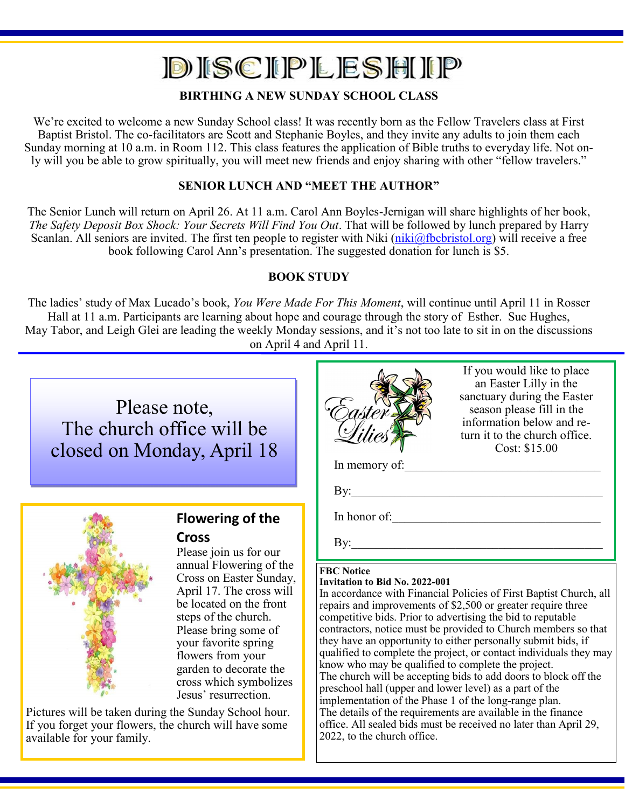## DISCIPLESHIP

#### **BIRTHING A NEW SUNDAY SCHOOL CLASS**

We're excited to welcome a new Sunday School class! It was recently born as the Fellow Travelers class at First Baptist Bristol. The co-facilitators are Scott and Stephanie Boyles, and they invite any adults to join them each Sunday morning at 10 a.m. in Room 112. This class features the application of Bible truths to everyday life. Not only will you be able to grow spiritually, you will meet new friends and enjoy sharing with other "fellow travelers."

#### **SENIOR LUNCH AND "MEET THE AUTHOR"**

The Senior Lunch will return on April 26. At 11 a.m. Carol Ann Boyles-Jernigan will share highlights of her book, *The Safety Deposit Box Shock: Your Secrets Will Find You Out*. That will be followed by lunch prepared by Harry Scanlan. All seniors are invited. The first ten people to register with Niki  $(niki@fbotristol.org)$  will receive a free book following Carol Ann's presentation. The suggested donation for lunch is \$5.

#### **BOOK STUDY**

The ladies' study of Max Lucado's book, *You Were Made For This Moment*, will continue until April 11 in Rosser Hall at 11 a.m. Participants are learning about hope and courage through the story of Esther. Sue Hughes, May Tabor, and Leigh Glei are leading the weekly Monday sessions, and it's not too late to sit in on the discussions on April 4 and April 11.





#### **Flowering of the Cross**

Please join us for our annual Flowering of the Cross on Easter Sunday, April 17. The cross will be located on the front steps of the church. Please bring some of your favorite spring flowers from your garden to decorate the cross which symbolizes Jesus' resurrection.

Pictures will be taken during the Sunday School hour. If you forget your flowers, the church will have some available for your family.



If you would like to place an Easter Lilly in the sanctuary during the Easter season please fill in the information below and return it to the church office. Cost: \$15.00

In memory of:\_\_\_\_\_\_\_\_\_\_\_\_\_\_\_\_\_\_\_\_\_\_\_\_\_\_\_\_\_\_\_\_

By:\_\_\_\_\_\_\_\_\_\_\_\_\_\_\_\_\_\_\_\_\_\_\_\_\_\_\_\_\_\_\_\_\_\_\_\_\_\_\_\_\_

In honor of:\_\_\_\_\_\_\_\_\_\_\_\_\_\_\_\_\_\_\_\_\_\_\_\_\_\_\_\_\_\_\_\_\_\_

By:\_\_\_\_\_\_\_\_\_\_\_\_\_\_\_\_\_\_\_\_\_\_\_\_\_\_\_\_\_\_\_\_\_\_\_\_\_\_\_\_\_

#### **FBC Notice**

#### **Invitation to Bid No. 2022-001**

In accordance with Financial Policies of First Baptist Church, all repairs and improvements of \$2,500 or greater require three competitive bids. Prior to advertising the bid to reputable contractors, notice must be provided to Church members so that they have an opportunity to either personally submit bids, if qualified to complete the project, or contact individuals they may know who may be qualified to complete the project. The church will be accepting bids to add doors to block off the preschool hall (upper and lower level) as a part of the implementation of the Phase 1 of the long-range plan. The details of the requirements are available in the finance office. All sealed bids must be received no later than April 29, 2022, to the church office.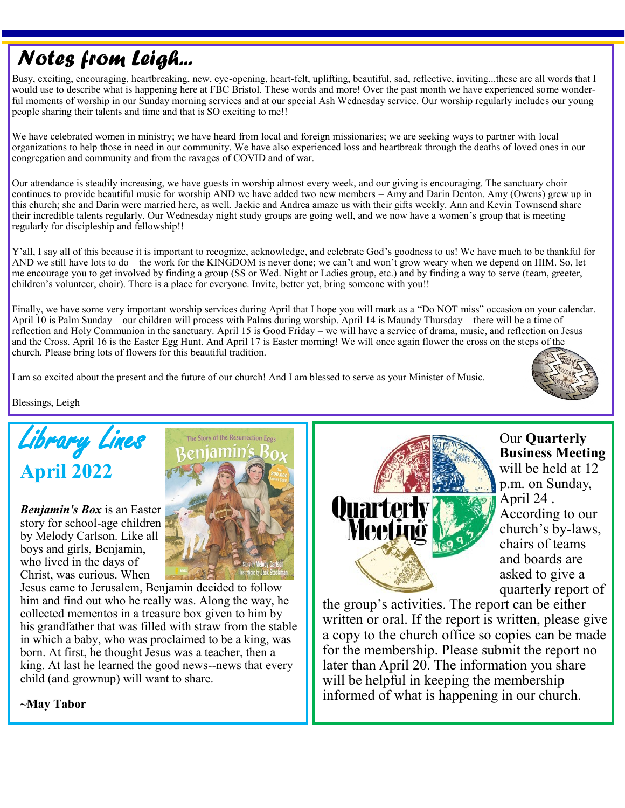### *Notes from Leigh...*

Busy, exciting, encouraging, heartbreaking, new, eye-opening, heart-felt, uplifting, beautiful, sad, reflective, inviting...these are all words that I would use to describe what is happening here at FBC Bristol. These words and more! Over the past month we have experienced some wonderful moments of worship in our Sunday morning services and at our special Ash Wednesday service. Our worship regularly includes our young people sharing their talents and time and that is SO exciting to me!!

We have celebrated women in ministry; we have heard from local and foreign missionaries; we are seeking ways to partner with local organizations to help those in need in our community. We have also experienced loss and heartbreak through the deaths of loved ones in our congregation and community and from the ravages of COVID and of war.

Our attendance is steadily increasing, we have guests in worship almost every week, and our giving is encouraging. The sanctuary choir continues to provide beautiful music for worship AND we have added two new members – Amy and Darin Denton. Amy (Owens) grew up in this church; she and Darin were married here, as well. Jackie and Andrea amaze us with their gifts weekly. Ann and Kevin Townsend share their incredible talents regularly. Our Wednesday night study groups are going well, and we now have a women's group that is meeting regularly for discipleship and fellowship!!

Y'all, I say all of this because it is important to recognize, acknowledge, and celebrate God's goodness to us! We have much to be thankful for AND we still have lots to do – the work for the KINGDOM is never done; we can't and won't grow weary when we depend on HIM. So, let me encourage you to get involved by finding a group (SS or Wed. Night or Ladies group, etc.) and by finding a way to serve (team, greeter, children's volunteer, choir). There is a place for everyone. Invite, better yet, bring someone with you!!

Finally, we have some very important worship services during April that I hope you will mark as a "Do NOT miss" occasion on your calendar. April 10 is Palm Sunday – our children will process with Palms during worship. April 14 is Maundy Thursday – there will be a time of reflection and Holy Communion in the sanctuary. April 15 is Good Friday – we will have a service of drama, music, and reflection on Jesus and the Cross. April 16 is the Easter Egg Hunt. And April 17 is Easter morning! We will once again flower the cross on the steps of the church. Please bring lots of flowers for this beautiful tradition.

I am so excited about the present and the future of our church! And I am blessed to serve as your Minister of Music.



Blessings, Leigh

# Library Lines **April 2022**

*Benjamin's Box* is an Easter story for school-age children by Melody Carlson. Like all boys and girls, Benjamin, who lived in the days of Christ, was curious. When

**be Story of the Resurrection Foot** 

Jesus came to Jerusalem, Benjamin decided to follow him and find out who he really was. Along the way, he collected mementos in a treasure box given to him by his grandfather that was filled with straw from the stable in which a baby, who was proclaimed to be a king, was born. At first, he thought Jesus was a teacher, then a king. At last he learned the good news--news that every child (and grownup) will want to share.



Our **Quarterly Business Meeting**  will be held at 12 p.m. on Sunday, April 24 . According to our church's by-laws, chairs of teams and boards are asked to give a quarterly report of

the group's activities. The report can be either written or oral. If the report is written, please give a copy to the church office so copies can be made for the membership. Please submit the report no later than April 20. The information you share will be helpful in keeping the membership informed of what is happening in our church.

**~May Tabor**